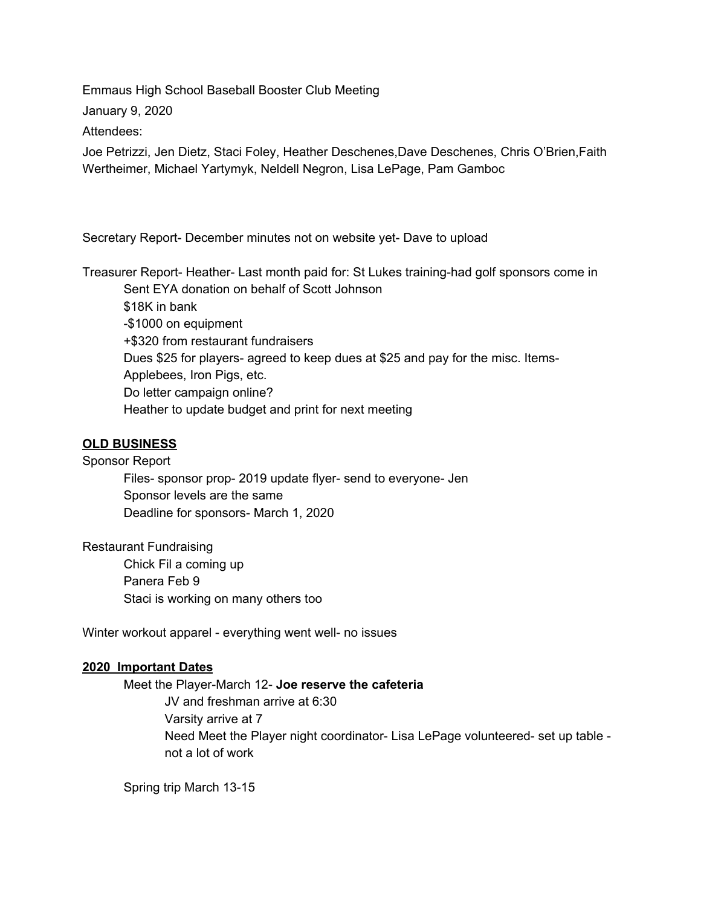Emmaus High School Baseball Booster Club Meeting

January 9, 2020

Attendees:

Joe Petrizzi, Jen Dietz, Staci Foley, Heather Deschenes,Dave Deschenes, Chris O'Brien,Faith Wertheimer, Michael Yartymyk, Neldell Negron, Lisa LePage, Pam Gamboc

Secretary Report- December minutes not on website yet- Dave to upload

Treasurer Report- Heather- Last month paid for: St Lukes training-had golf sponsors come in Sent EYA donation on behalf of Scott Johnson \$18K in bank -\$1000 on equipment +\$320 from restaurant fundraisers Dues \$25 for players- agreed to keep dues at \$25 and pay for the misc. Items-Applebees, Iron Pigs, etc. Do letter campaign online?

Heather to update budget and print for next meeting

## **OLD BUSINESS**

Sponsor Report

Files- sponsor prop- 2019 update flyer- send to everyone- Jen Sponsor levels are the same Deadline for sponsors- March 1, 2020

Restaurant Fundraising Chick Fil a coming up Panera Feb 9 Staci is working on many others too

Winter workout apparel - everything went well- no issues

## **2020 Important Dates**

Meet the Player-March 12- **Joe reserve the cafeteria** JV and freshman arrive at 6:30 Varsity arrive at 7 Need Meet the Player night coordinator- Lisa LePage volunteered- set up table not a lot of work

Spring trip March 13-15